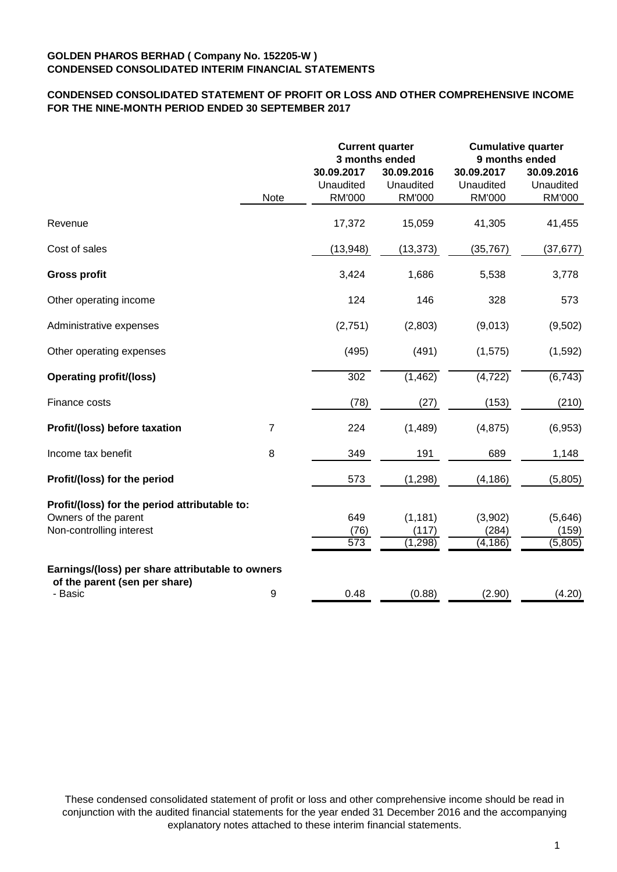# **CONDENSED CONSOLIDATED STATEMENT OF PROFIT OR LOSS AND OTHER COMPREHENSIVE INCOME FOR THE NINE-MONTH PERIOD ENDED 30 SEPTEMBER 2017**

|                                                                                                   |                |                                          | <b>Current quarter</b><br>3 months ended | <b>Cumulative quarter</b><br>9 months ended |                                          |  |
|---------------------------------------------------------------------------------------------------|----------------|------------------------------------------|------------------------------------------|---------------------------------------------|------------------------------------------|--|
|                                                                                                   | Note           | 30.09.2017<br>Unaudited<br><b>RM'000</b> | 30.09.2016<br>Unaudited<br><b>RM'000</b> | 30.09.2017<br>Unaudited<br><b>RM'000</b>    | 30.09.2016<br>Unaudited<br><b>RM'000</b> |  |
| Revenue                                                                                           |                | 17,372                                   | 15,059                                   | 41,305                                      | 41,455                                   |  |
| Cost of sales                                                                                     |                | (13, 948)                                | (13, 373)                                | (35, 767)                                   | (37, 677)                                |  |
| <b>Gross profit</b>                                                                               |                | 3,424                                    | 1,686                                    | 5,538                                       | 3,778                                    |  |
| Other operating income                                                                            |                | 124                                      | 146                                      | 328                                         | 573                                      |  |
| Administrative expenses                                                                           |                | (2,751)                                  | (2,803)                                  | (9,013)                                     | (9,502)                                  |  |
| Other operating expenses                                                                          |                | (495)                                    | (491)                                    | (1, 575)                                    | (1,592)                                  |  |
| <b>Operating profit/(loss)</b>                                                                    |                | 302                                      | (1, 462)                                 | (4, 722)                                    | (6, 743)                                 |  |
| Finance costs                                                                                     |                | (78)                                     | (27)                                     | (153)                                       | (210)                                    |  |
| Profit/(loss) before taxation                                                                     | $\overline{7}$ | 224                                      | (1,489)                                  | (4, 875)                                    | (6,953)                                  |  |
| Income tax benefit                                                                                | 8              | 349                                      | 191                                      | 689                                         | 1,148                                    |  |
| Profit/(loss) for the period                                                                      |                | 573                                      | (1, 298)                                 | (4, 186)                                    | (5,805)                                  |  |
| Profit/(loss) for the period attributable to:<br>Owners of the parent<br>Non-controlling interest |                | 649<br>(76)<br>573                       | (1, 181)<br>(117)<br>(1,298)             | (3,902)<br>(284)<br>$(\overline{4,186})$    | (5,646)<br>(159)<br>(5,805)              |  |
| Earnings/(loss) per share attributable to owners<br>of the parent (sen per share)<br>- Basic      |                | 0.48                                     |                                          |                                             |                                          |  |
|                                                                                                   | 9              |                                          | (0.88)                                   | (2.90)                                      | (4.20)                                   |  |

These condensed consolidated statement of profit or loss and other comprehensive income should be read in conjunction with the audited financial statements for the year ended 31 December 2016 and the accompanying explanatory notes attached to these interim financial statements.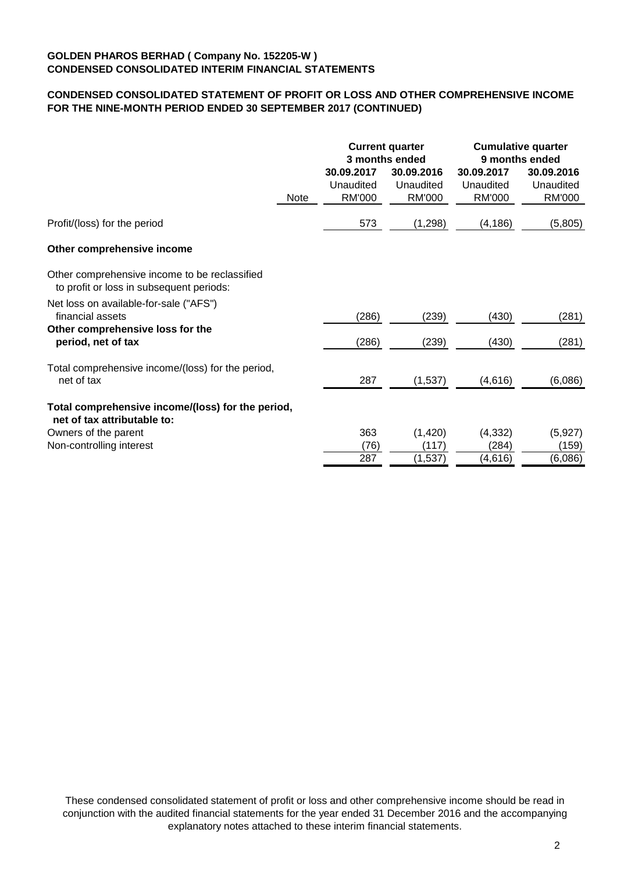# **CONDENSED CONSOLIDATED STATEMENT OF PROFIT OR LOSS AND OTHER COMPREHENSIVE INCOME FOR THE NINE-MONTH PERIOD ENDED 30 SEPTEMBER 2017 (CONTINUED)**

|             |                                                   |                            | <b>Cumulative quarter</b><br>9 months ended                       |                                          |
|-------------|---------------------------------------------------|----------------------------|-------------------------------------------------------------------|------------------------------------------|
| <b>Note</b> | Unaudited<br>RM'000                               | Unaudited<br><b>RM'000</b> | Unaudited<br>RM'000                                               | 30.09.2016<br>Unaudited<br><b>RM'000</b> |
|             | 573                                               | (1,298)                    | (4, 186)                                                          | (5,805)                                  |
|             |                                                   |                            |                                                                   |                                          |
|             |                                                   |                            |                                                                   |                                          |
|             | (286)                                             | (239)                      | (430)                                                             | (281)                                    |
|             | (286)                                             | (239)                      | (430)                                                             | (281)                                    |
|             | 287                                               | (1,537)                    | (4,616)                                                           | (6,086)                                  |
|             |                                                   |                            |                                                                   |                                          |
|             | 363<br>(76)<br>287                                | (1,420)<br>(117)           | (4, 332)<br>(284)                                                 | (5,927)<br>(159)<br>(6,086)              |
|             | Total comprehensive income/(loss) for the period, | 30.09.2017                 | <b>Current quarter</b><br>3 months ended<br>30.09.2016<br>(1,537) | 30.09.2017<br>(4,616)                    |

These condensed consolidated statement of profit or loss and other comprehensive income should be read in conjunction with the audited financial statements for the year ended 31 December 2016 and the accompanying explanatory notes attached to these interim financial statements.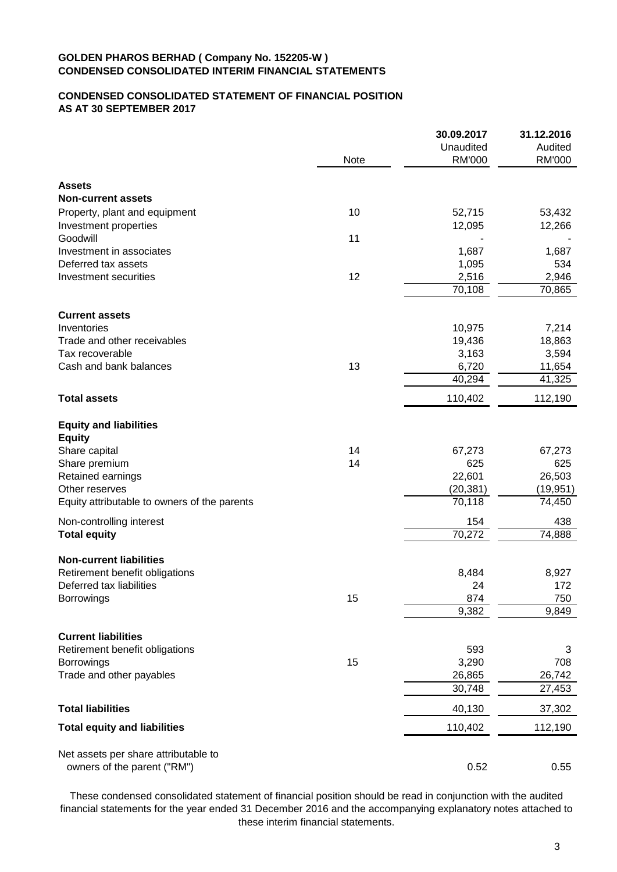# **CONDENSED CONSOLIDATED STATEMENT OF FINANCIAL POSITION AS AT 30 SEPTEMBER 2017**

|                                              |      | 30.09.2017           | 31.12.2016 |
|----------------------------------------------|------|----------------------|------------|
|                                              |      | Unaudited            | Audited    |
|                                              | Note | <b>RM'000</b>        | RM'000     |
| <b>Assets</b>                                |      |                      |            |
| <b>Non-current assets</b>                    |      |                      |            |
| Property, plant and equipment                | 10   | 52,715               | 53,432     |
| Investment properties                        |      | 12,095               | 12,266     |
| Goodwill                                     | 11   |                      |            |
| Investment in associates                     |      | 1,687                | 1,687      |
| Deferred tax assets                          |      | 1,095                | 534        |
| Investment securities                        | 12   | 2,516                | 2,946      |
|                                              |      | 70,108               | 70,865     |
| <b>Current assets</b>                        |      |                      |            |
| Inventories                                  |      | 10,975               | 7,214      |
| Trade and other receivables                  |      | 19,436               | 18,863     |
| Tax recoverable                              |      | 3,163                | 3,594      |
| Cash and bank balances                       | 13   | 6,720                | 11,654     |
|                                              |      | 40,294               | 41,325     |
| <b>Total assets</b>                          |      | 110,402              | 112,190    |
| <b>Equity and liabilities</b>                |      |                      |            |
| <b>Equity</b>                                |      |                      |            |
| Share capital                                | 14   | 67,273               | 67,273     |
| Share premium                                | 14   | 625                  | 625        |
| Retained earnings                            |      | 22,601               | 26,503     |
| Other reserves                               |      | (20, 381)            | (19, 951)  |
| Equity attributable to owners of the parents |      | 70,118               | 74,450     |
| Non-controlling interest                     |      | 154                  | 438        |
| <b>Total equity</b>                          |      | 70,272               | 74,888     |
| <b>Non-current liabilities</b>               |      |                      |            |
| Retirement benefit obligations               |      | 8,484                | 8,927      |
| Deferred tax liabilities                     |      | 24                   | 172        |
| <b>Borrowings</b>                            | 15   | 874                  | 750        |
|                                              |      | $\overline{9}$ , 382 | 9,849      |
| <b>Current liabilities</b>                   |      |                      |            |
| Retirement benefit obligations               |      | 593                  | 3          |
| Borrowings                                   | 15   | 3,290                | 708        |
| Trade and other payables                     |      | 26,865               | 26,742     |
|                                              |      | 30,748               | 27,453     |
| <b>Total liabilities</b>                     |      | 40,130               | 37,302     |
| <b>Total equity and liabilities</b>          |      | 110,402              | 112,190    |
|                                              |      |                      |            |
| Net assets per share attributable to         |      |                      |            |
| owners of the parent ("RM")                  |      | 0.52                 | 0.55       |

These condensed consolidated statement of financial position should be read in conjunction with the audited financial statements for the year ended 31 December 2016 and the accompanying explanatory notes attached to these interim financial statements.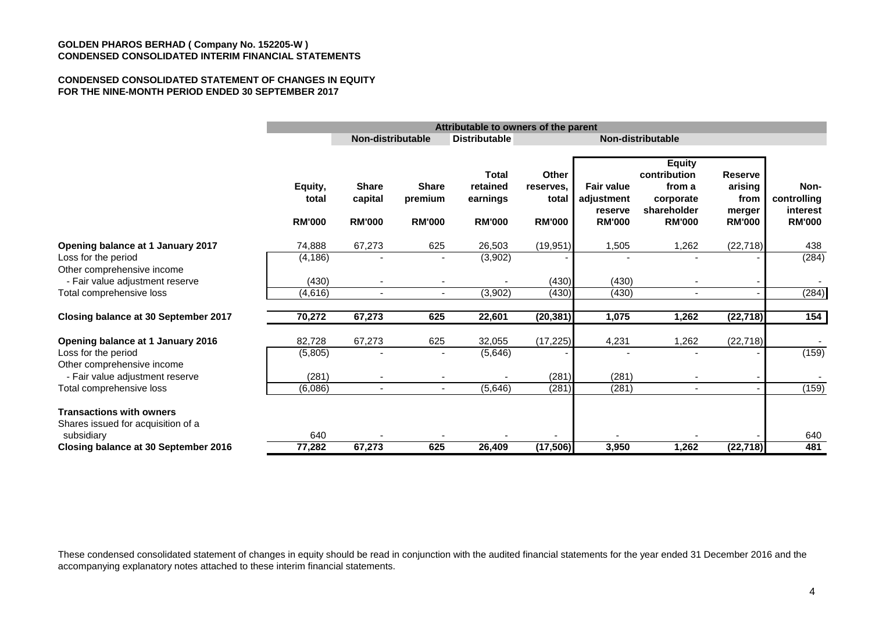#### **CONDENSED CONSOLIDATED STATEMENT OF CHANGES IN EQUITY FOR THE NINE-MONTH PERIOD ENDED 30 SEPTEMBER 2017**

|                                                                       |                                   | Attributable to owners of the parent     |                                          |                                                       |                                              |                                                             |                                                                                      |                                                              |                                                  |
|-----------------------------------------------------------------------|-----------------------------------|------------------------------------------|------------------------------------------|-------------------------------------------------------|----------------------------------------------|-------------------------------------------------------------|--------------------------------------------------------------------------------------|--------------------------------------------------------------|--------------------------------------------------|
|                                                                       |                                   | Non-distributable                        |                                          | <b>Distributable</b>                                  |                                              | Non-distributable                                           |                                                                                      |                                                              |                                                  |
|                                                                       | Equity,<br>total<br><b>RM'000</b> | <b>Share</b><br>capital<br><b>RM'000</b> | <b>Share</b><br>premium<br><b>RM'000</b> | <b>Total</b><br>retained<br>earnings<br><b>RM'000</b> | Other<br>reserves,<br>total<br><b>RM'000</b> | <b>Fair value</b><br>adjustment<br>reserve<br><b>RM'000</b> | <b>Equity</b><br>contribution<br>from a<br>corporate<br>shareholder<br><b>RM'000</b> | <b>Reserve</b><br>arising<br>from<br>merger<br><b>RM'000</b> | Non-<br>controlling<br>interest<br><b>RM'000</b> |
| Opening balance at 1 January 2017                                     | 74,888                            | 67,273                                   | 625                                      | 26,503                                                | (19, 951)                                    | 1,505                                                       | 1,262                                                                                | (22, 718)                                                    | 438                                              |
| Loss for the period<br>Other comprehensive income                     | (4, 186)                          |                                          |                                          | (3,902)                                               |                                              |                                                             |                                                                                      |                                                              | (284)                                            |
| - Fair value adjustment reserve                                       | (430)                             |                                          |                                          |                                                       | (430)                                        | (430)                                                       |                                                                                      |                                                              |                                                  |
| Total comprehensive loss                                              | (4,616)                           | $\blacksquare$                           | $\blacksquare$                           | (3,902)                                               | (430)                                        | (430)                                                       | $\blacksquare$                                                                       |                                                              | (284)                                            |
| Closing balance at 30 September 2017                                  | 70,272                            | 67,273                                   | 625                                      | 22,601                                                | (20, 381)                                    | 1,075                                                       | 1,262                                                                                | (22, 718)                                                    | 154                                              |
| Opening balance at 1 January 2016                                     | 82,728                            | 67,273                                   | 625                                      | 32,055                                                | (17, 225)                                    | 4,231                                                       | 1,262                                                                                | (22, 718)                                                    |                                                  |
| Loss for the period<br>Other comprehensive income                     | (5,805)                           |                                          |                                          | (5,646)                                               |                                              |                                                             |                                                                                      |                                                              | (159)                                            |
| - Fair value adjustment reserve                                       | (281)                             |                                          |                                          |                                                       | (281)                                        | (281)                                                       |                                                                                      |                                                              |                                                  |
| Total comprehensive loss                                              | (6,086)                           | $\blacksquare$                           | $\blacksquare$                           | (5,646)                                               | (281)                                        | (281)                                                       | $\sim$                                                                               |                                                              | (159)                                            |
| <b>Transactions with owners</b><br>Shares issued for acquisition of a |                                   |                                          |                                          |                                                       |                                              |                                                             |                                                                                      |                                                              |                                                  |
| subsidiary<br>Closing balance at 30 September 2016                    | 640<br>77,282                     | 67,273                                   | 625                                      | 26,409                                                | (17, 506)                                    | 3,950                                                       | 1,262                                                                                | (22, 718)                                                    | 640<br>481                                       |
|                                                                       |                                   |                                          |                                          |                                                       |                                              |                                                             |                                                                                      |                                                              |                                                  |

These condensed consolidated statement of changes in equity should be read in conjunction with the audited financial statements for the year ended 31 December 2016 and the accompanying explanatory notes attached to these interim financial statements.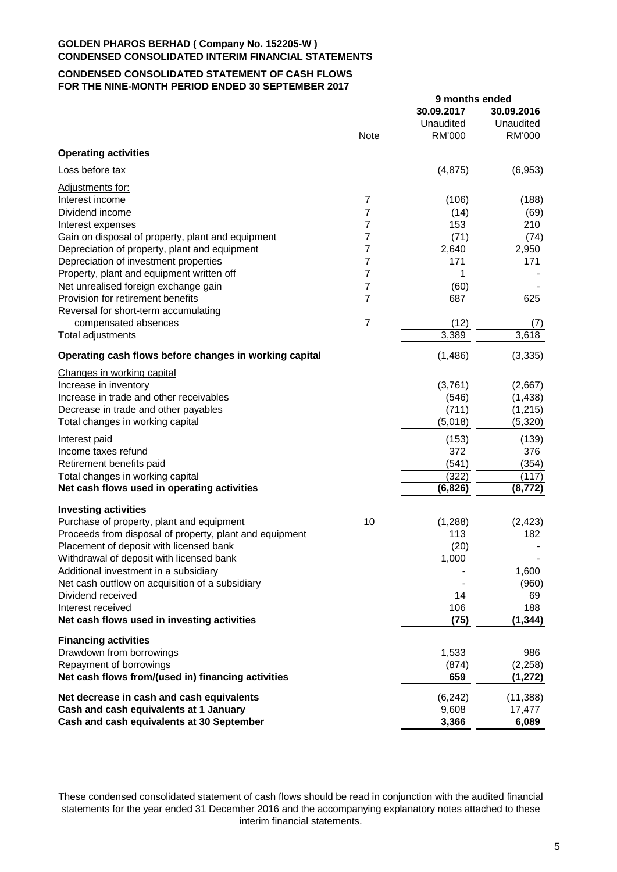## **CONDENSED CONSOLIDATED STATEMENT OF CASH FLOWS FOR THE NINE-MONTH PERIOD ENDED 30 SEPTEMBER 2017**

|                                                         |                | 9 months ended |            |
|---------------------------------------------------------|----------------|----------------|------------|
|                                                         |                | 30.09.2017     | 30.09.2016 |
|                                                         |                | Unaudited      | Unaudited  |
|                                                         | <b>Note</b>    | <b>RM'000</b>  | RM'000     |
| <b>Operating activities</b>                             |                |                |            |
| Loss before tax                                         |                | (4,875)        | (6,953)    |
| Adjustments for:                                        |                |                |            |
| Interest income                                         | $\overline{7}$ | (106)          | (188)      |
| Dividend income                                         | 7              | (14)           | (69)       |
| Interest expenses                                       | 7              | 153            | 210        |
| Gain on disposal of property, plant and equipment       | 7              | (71)           | (74)       |
| Depreciation of property, plant and equipment           | 7              | 2,640          | 2,950      |
|                                                         |                |                |            |
| Depreciation of investment properties                   | 7              | 171            | 171        |
| Property, plant and equipment written off               | 7              | 1              |            |
| Net unrealised foreign exchange gain                    | 7              | (60)           |            |
| Provision for retirement benefits                       | $\overline{7}$ | 687            | 625        |
| Reversal for short-term accumulating                    |                |                |            |
| compensated absences                                    | $\overline{7}$ | (12)           | (7)        |
| Total adjustments                                       |                | 3,389          | 3,618      |
| Operating cash flows before changes in working capital  |                | (1,486)        | (3, 335)   |
| Changes in working capital                              |                |                |            |
| Increase in inventory                                   |                | (3,761)        | (2,667)    |
| Increase in trade and other receivables                 |                | (546)          | (1, 438)   |
| Decrease in trade and other payables                    |                | (711)          | (1, 215)   |
| Total changes in working capital                        |                | (5,018)        | (5,320)    |
| Interest paid                                           |                | (153)          | (139)      |
| Income taxes refund                                     |                | 372            | 376        |
| Retirement benefits paid                                |                | (541)          | (354)      |
| Total changes in working capital                        |                | (322)          | (117)      |
| Net cash flows used in operating activities             |                | (6, 826)       | (8, 772)   |
| <b>Investing activities</b>                             |                |                |            |
| Purchase of property, plant and equipment               | 10             | (1,288)        | (2, 423)   |
| Proceeds from disposal of property, plant and equipment |                | 113            | 182        |
| Placement of deposit with licensed bank                 |                | (20)           |            |
|                                                         |                |                |            |
| Withdrawal of deposit with licensed bank                |                | 1,000          |            |
| Additional investment in a subsidiary                   |                |                | 1,600      |
| Net cash outflow on acquisition of a subsidiary         |                |                | (960)      |
| Dividend received                                       |                | 14             | 69         |
| Interest received                                       |                | 106            | 188        |
| Net cash flows used in investing activities             |                | (75)           | (1, 344)   |
| <b>Financing activities</b>                             |                |                |            |
| Drawdown from borrowings                                |                | 1,533          | 986        |
| Repayment of borrowings                                 |                | (874)          | (2, 258)   |
| Net cash flows from/(used in) financing activities      |                | 659            | (1,272)    |
| Net decrease in cash and cash equivalents               |                | (6, 242)       | (11, 388)  |
| Cash and cash equivalents at 1 January                  |                | 9,608          | 17,477     |
| Cash and cash equivalents at 30 September               |                | 3,366          | 6,089      |
|                                                         |                |                |            |

These condensed consolidated statement of cash flows should be read in conjunction with the audited financial statements for the year ended 31 December 2016 and the accompanying explanatory notes attached to these interim financial statements.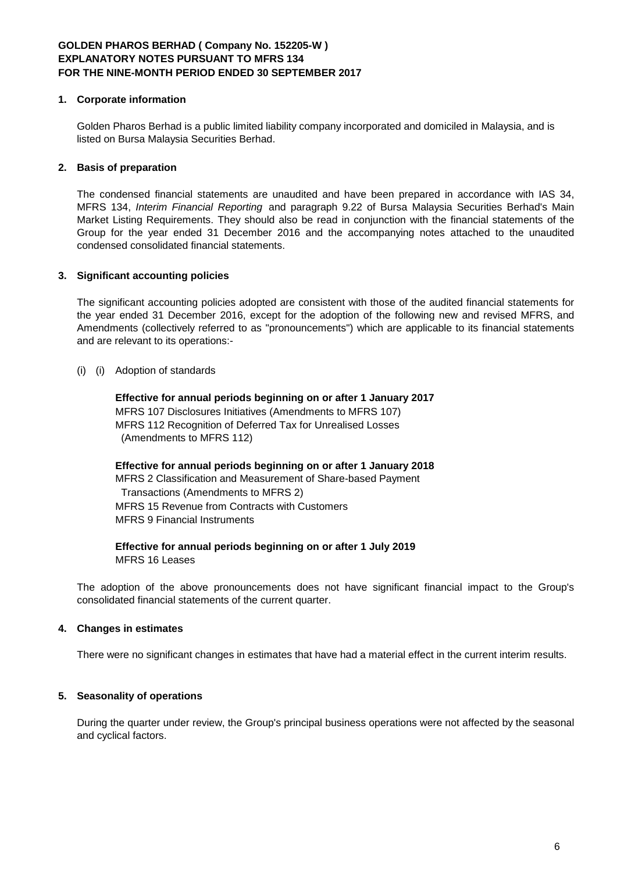## **1. Corporate information**

Golden Pharos Berhad is a public limited liability company incorporated and domiciled in Malaysia, and is listed on Bursa Malaysia Securities Berhad.

## **2. Basis of preparation**

The condensed financial statements are unaudited and have been prepared in accordance with IAS 34, MFRS 134, *Interim Financial Reporting* and paragraph 9.22 of Bursa Malaysia Securities Berhad's Main Market Listing Requirements. They should also be read in conjunction with the financial statements of the Group for the year ended 31 December 2016 and the accompanying notes attached to the unaudited condensed consolidated financial statements.

## **3. Significant accounting policies**

The significant accounting policies adopted are consistent with those of the audited financial statements for the year ended 31 December 2016, except for the adoption of the following new and revised MFRS, and Amendments (collectively referred to as "pronouncements") which are applicable to its financial statements and are relevant to its operations:-

### (i) (i) Adoption of standards

**Effective for annual periods beginning on or after 1 January 2017** MFRS 107 Disclosures Initiatives (Amendments to MFRS 107) MFRS 112 Recognition of Deferred Tax for Unrealised Losses (Amendments to MFRS 112)

**Effective for annual periods beginning on or after 1 January 2018** MFRS 2 Classification and Measurement of Share-based Payment Transactions (Amendments to MFRS 2) MFRS 15 Revenue from Contracts with Customers MFRS 9 Financial Instruments

**Effective for annual periods beginning on or after 1 July 2019** MFRS 16 Leases

The adoption of the above pronouncements does not have significant financial impact to the Group's consolidated financial statements of the current quarter.

## **4. Changes in estimates**

There were no significant changes in estimates that have had a material effect in the current interim results.

## **5. Seasonality of operations**

During the quarter under review, the Group's principal business operations were not affected by the seasonal and cyclical factors.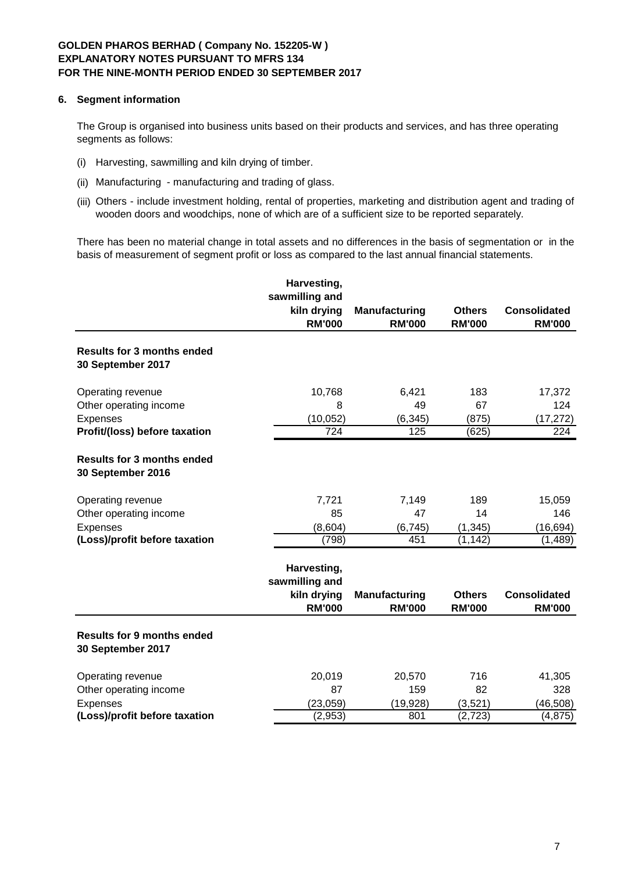## **6. Segment information**

The Group is organised into business units based on their products and services, and has three operating segments as follows:

- (i) Harvesting, sawmilling and kiln drying of timber.
- (ii) Manufacturing manufacturing and trading of glass.
- (iii) Others include investment holding, rental of properties, marketing and distribution agent and trading of wooden doors and woodchips, none of which are of a sufficient size to be reported separately.

There has been no material change in total assets and no differences in the basis of segmentation or in the basis of measurement of segment profit or loss as compared to the last annual financial statements.

|                                                        | Harvesting,<br>sawmilling and                                 |                                       |                                |                                      |
|--------------------------------------------------------|---------------------------------------------------------------|---------------------------------------|--------------------------------|--------------------------------------|
|                                                        | kiln drying<br><b>RM'000</b>                                  | <b>Manufacturing</b><br><b>RM'000</b> | <b>Others</b><br><b>RM'000</b> | <b>Consolidated</b><br><b>RM'000</b> |
| <b>Results for 3 months ended</b><br>30 September 2017 |                                                               |                                       |                                |                                      |
| Operating revenue                                      | 10,768                                                        | 6,421                                 | 183                            | 17,372                               |
| Other operating income                                 | 8                                                             | 49                                    | 67                             | 124                                  |
| Expenses                                               | (10, 052)                                                     | (6, 345)                              | (875)                          | (17, 272)                            |
| Profit/(loss) before taxation                          | $\overline{724}$                                              | 125                                   | $\overline{(625)}$             | 224                                  |
| <b>Results for 3 months ended</b><br>30 September 2016 |                                                               |                                       |                                |                                      |
| Operating revenue                                      | 7,721                                                         | 7,149                                 | 189                            | 15,059                               |
| Other operating income                                 | 85                                                            | 47                                    | 14                             | 146                                  |
| Expenses                                               | (8,604)                                                       | (6, 745)                              | (1, 345)                       | (16, 694)                            |
| (Loss)/profit before taxation                          | (798)                                                         | 451                                   | (1, 142)                       | (1, 489)                             |
|                                                        | Harvesting,<br>sawmilling and<br>kiln drying<br><b>RM'000</b> | <b>Manufacturing</b><br><b>RM'000</b> | <b>Others</b><br><b>RM'000</b> | <b>Consolidated</b><br><b>RM'000</b> |
| <b>Results for 9 months ended</b><br>30 September 2017 |                                                               |                                       |                                |                                      |
| Operating revenue                                      | 20,019                                                        | 20,570                                | 716                            | 41,305                               |
| Other operating income                                 | 87                                                            | 159                                   | 82                             | 328                                  |
| Expenses                                               | (23, 059)                                                     | (19, 928)                             | (3,521)                        | (46, 508)                            |
| (Loss)/profit before taxation                          | (2,953)                                                       | 801                                   | (2, 723)                       | (4, 875)                             |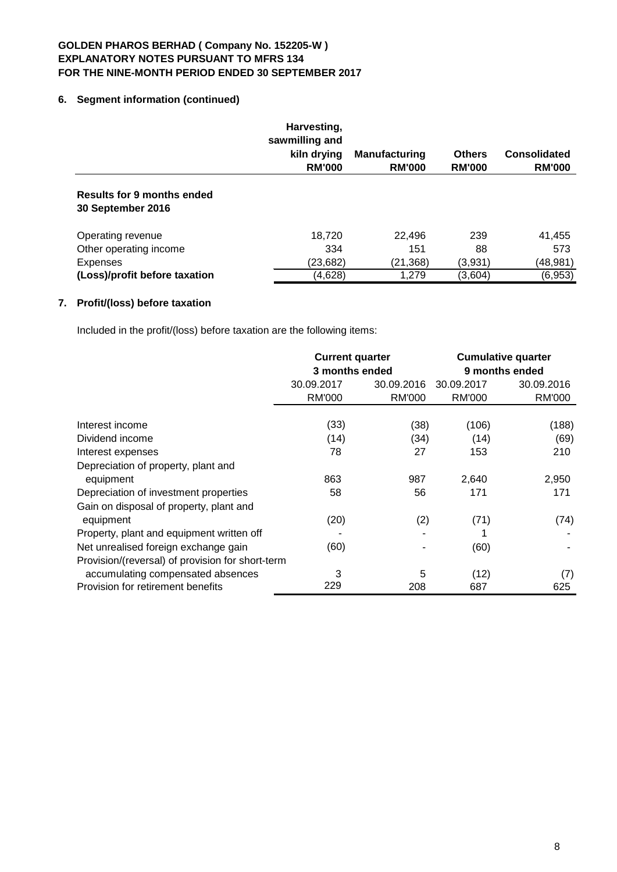# **6. Segment information (continued)**

|                                                 | Harvesting,<br>sawmilling and<br>kiln drying<br><b>RM'000</b> | <b>Manufacturing</b><br><b>RM'000</b> | <b>Others</b><br><b>RM'000</b> | <b>Consolidated</b><br><b>RM'000</b> |
|-------------------------------------------------|---------------------------------------------------------------|---------------------------------------|--------------------------------|--------------------------------------|
| Results for 9 months ended<br>30 September 2016 |                                                               |                                       |                                |                                      |
| Operating revenue                               | 18,720                                                        | 22,496                                | 239                            | 41,455                               |
| Other operating income                          | 334                                                           | 151                                   | 88                             | 573                                  |
| <b>Expenses</b>                                 | (23, 682)                                                     | (21, 368)                             | (3,931)                        | (48,981)                             |
| (Loss)/profit before taxation                   | (4,628)                                                       | 1,279                                 | (3,604)                        | (6,953)                              |

# **7. Profit/(loss) before taxation**

Included in the profit/(loss) before taxation are the following items:

|                                                  | <b>Current quarter</b><br>3 months ended |            | <b>Cumulative quarter</b><br>9 months ended |            |
|--------------------------------------------------|------------------------------------------|------------|---------------------------------------------|------------|
|                                                  | 30.09.2017                               | 30.09.2016 | 30.09.2017                                  | 30.09.2016 |
|                                                  | <b>RM'000</b>                            | RM'000     | <b>RM'000</b>                               | RM'000     |
| Interest income                                  | (33)                                     | (38)       | (106)                                       | (188)      |
| Dividend income                                  | (14)                                     | (34)       | (14)                                        | (69)       |
| Interest expenses                                | 78                                       | 27         | 153                                         | 210        |
| Depreciation of property, plant and              |                                          |            |                                             |            |
| equipment                                        | 863                                      | 987        | 2,640                                       | 2,950      |
| Depreciation of investment properties            | 58                                       | 56         | 171                                         | 171        |
| Gain on disposal of property, plant and          |                                          |            |                                             |            |
| equipment                                        | (20)                                     | (2)        | (71)                                        | (74)       |
| Property, plant and equipment written off        |                                          |            |                                             |            |
| Net unrealised foreign exchange gain             | (60)                                     |            | (60)                                        |            |
| Provision/(reversal) of provision for short-term |                                          |            |                                             |            |
| accumulating compensated absences                | 3                                        | 5          | (12)                                        | (7)        |
| Provision for retirement benefits                | 229                                      | 208        | 687                                         | 625        |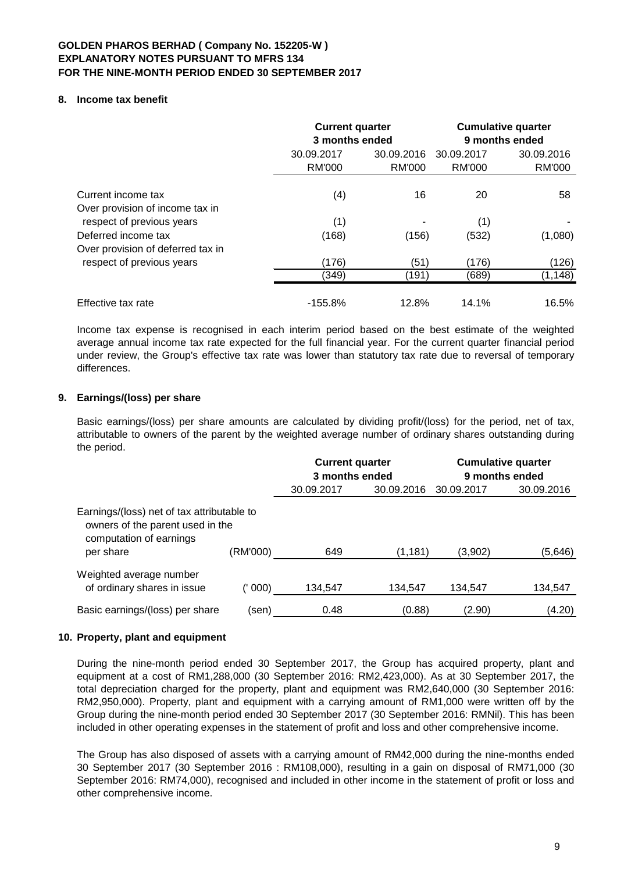### **8. Income tax benefit**

|                                                                                     |                      | <b>Current quarter</b><br>3 months ended |                      | <b>Cumulative quarter</b><br>9 months ended |  |
|-------------------------------------------------------------------------------------|----------------------|------------------------------------------|----------------------|---------------------------------------------|--|
|                                                                                     | 30.09.2017<br>RM'000 | 30.09.2016<br>RM'000                     | 30.09.2017<br>RM'000 | 30.09.2016<br><b>RM'000</b>                 |  |
| Current income tax                                                                  | (4)                  | 16                                       | 20                   | 58                                          |  |
| Over provision of income tax in<br>respect of previous years<br>Deferred income tax | (1)<br>(168)         | (156)                                    | (1)<br>(532)         | (1,080)                                     |  |
| Over provision of deferred tax in<br>respect of previous years                      | (176)                | (51)                                     | (176)                | (126)                                       |  |
|                                                                                     | (349)                | (191)                                    | (689)                | (1, 148)                                    |  |
| Effective tax rate                                                                  | $-155.8%$            | 12.8%                                    | 14.1%                | 16.5%                                       |  |

Income tax expense is recognised in each interim period based on the best estimate of the weighted average annual income tax rate expected for the full financial year. For the current quarter financial period under review, the Group's effective tax rate was lower than statutory tax rate due to reversal of temporary differences.

### **9. Earnings/(loss) per share**

Basic earnings/(loss) per share amounts are calculated by dividing profit/(loss) for the period, net of tax, attributable to owners of the parent by the weighted average number of ordinary shares outstanding during the period.

|                                                                                                                        |          | <b>Current quarter</b><br>3 months ended |            | <b>Cumulative quarter</b><br>9 months ended |            |  |
|------------------------------------------------------------------------------------------------------------------------|----------|------------------------------------------|------------|---------------------------------------------|------------|--|
|                                                                                                                        |          | 30.09.2017                               | 30.09.2016 | 30.09.2017                                  | 30.09.2016 |  |
| Earnings/(loss) net of tax attributable to<br>owners of the parent used in the<br>computation of earnings<br>per share | (RM'000) | 649                                      | (1, 181)   | (3,902)                                     | (5,646)    |  |
| Weighted average number<br>of ordinary shares in issue                                                                 | 000)     | 134,547                                  | 134,547    | 134,547                                     | 134,547    |  |
| Basic earnings/(loss) per share                                                                                        | (sen)    | 0.48                                     | (0.88)     | (2.90)                                      | (4.20)     |  |

### **10. Property, plant and equipment**

During the nine-month period ended 30 September 2017, the Group has acquired property, plant and equipment at a cost of RM1,288,000 (30 September 2016: RM2,423,000). As at 30 September 2017, the total depreciation charged for the property, plant and equipment was RM2,640,000 (30 September 2016: RM2,950,000). Property, plant and equipment with a carrying amount of RM1,000 were written off by the Group during the nine-month period ended 30 September 2017 (30 September 2016: RMNil). This has been included in other operating expenses in the statement of profit and loss and other comprehensive income.

The Group has also disposed of assets with a carrying amount of RM42,000 during the nine-months ended 30 September 2017 (30 September 2016 : RM108,000), resulting in a gain on disposal of RM71,000 (30 September 2016: RM74,000), recognised and included in other income in the statement of profit or loss and other comprehensive income.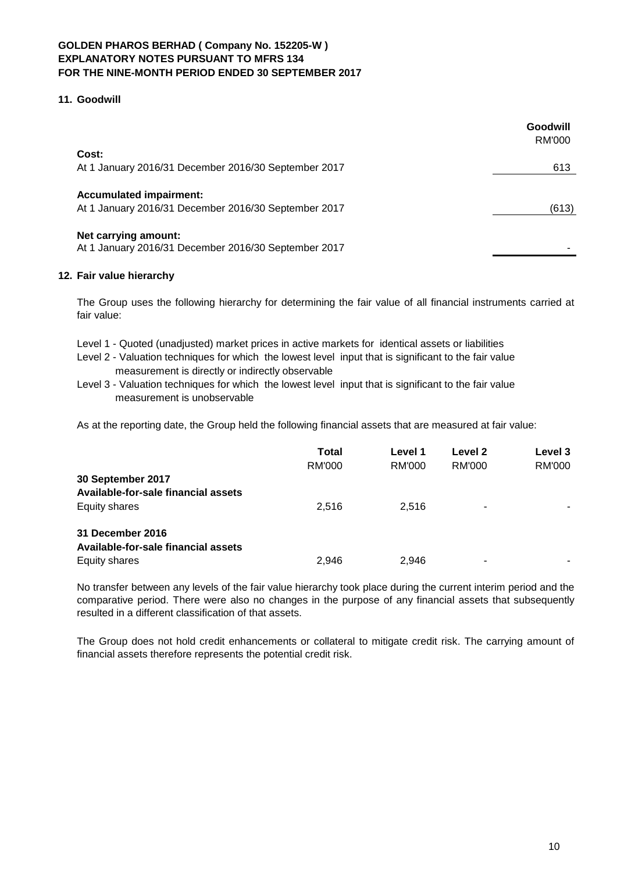## **11. Goodwill**

|                                                                                        | Goodwill<br>RM'000 |
|----------------------------------------------------------------------------------------|--------------------|
| Cost:<br>At 1 January 2016/31 December 2016/30 September 2017                          | 613                |
| <b>Accumulated impairment:</b><br>At 1 January 2016/31 December 2016/30 September 2017 | (613)              |
| Net carrying amount:<br>At 1 January 2016/31 December 2016/30 September 2017           |                    |

## **12. Fair value hierarchy**

The Group uses the following hierarchy for determining the fair value of all financial instruments carried at fair value:

- Level 1 Quoted (unadjusted) market prices in active markets for identical assets or liabilities
- Level 2 Valuation techniques for which the lowest level input that is significant to the fair value measurement is directly or indirectly observable
- Level 3 Valuation techniques for which the lowest level input that is significant to the fair value measurement is unobservable

As at the reporting date, the Group held the following financial assets that are measured at fair value:

|                                                          | <b>Total</b><br>RM'000 | Level 1<br>RM'000 | Level 2<br>RM'000 | Level 3<br>RM'000 |
|----------------------------------------------------------|------------------------|-------------------|-------------------|-------------------|
| 30 September 2017<br>Available-for-sale financial assets |                        |                   |                   |                   |
| <b>Equity shares</b>                                     | 2.516                  | 2.516             | -                 |                   |
| 31 December 2016<br>Available-for-sale financial assets  |                        |                   |                   |                   |
| Equity shares                                            | 2,946                  | 2.946             |                   | -                 |

No transfer between any levels of the fair value hierarchy took place during the current interim period and the comparative period. There were also no changes in the purpose of any financial assets that subsequently resulted in a different classification of that assets.

The Group does not hold credit enhancements or collateral to mitigate credit risk. The carrying amount of financial assets therefore represents the potential credit risk.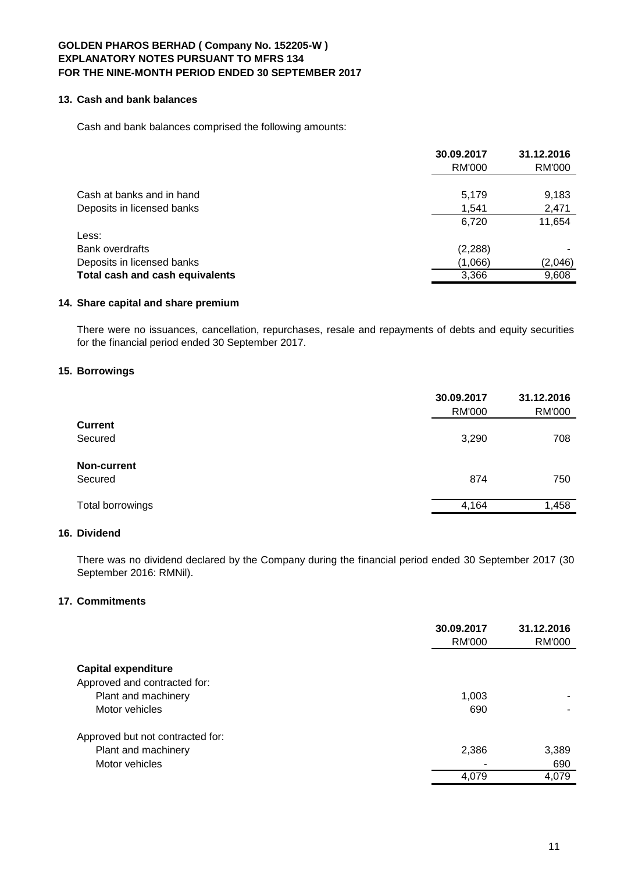#### **13. Cash and bank balances**

Cash and bank balances comprised the following amounts:

|                                 | 30.09.2017    | 31.12.2016 |
|---------------------------------|---------------|------------|
|                                 | <b>RM'000</b> | RM'000     |
|                                 |               |            |
| Cash at banks and in hand       | 5,179         | 9,183      |
| Deposits in licensed banks      | 1,541         | 2,471      |
|                                 | 6,720         | 11,654     |
| Less:                           |               |            |
| Bank overdrafts                 | (2, 288)      |            |
| Deposits in licensed banks      | (1,066)       | (2,046)    |
| Total cash and cash equivalents | 3,366         | 9,608      |

### **14. Share capital and share premium**

There were no issuances, cancellation, repurchases, resale and repayments of debts and equity securities for the financial period ended 30 September 2017.

# **15. Borrowings**

|                  | 30.09.2017<br><b>RM'000</b> | 31.12.2016<br><b>RM'000</b> |
|------------------|-----------------------------|-----------------------------|
| <b>Current</b>   |                             |                             |
| Secured          | 3,290                       | 708                         |
| Non-current      |                             |                             |
| Secured          | 874                         | 750                         |
| Total borrowings | 4,164                       | 1,458                       |
|                  |                             |                             |

# **16. Dividend**

There was no dividend declared by the Company during the financial period ended 30 September 2017 (30 September 2016: RMNil).

# **17. Commitments**

|                                                     | 30.09.2017<br>RM'000 | 31.12.2016<br>RM'000 |
|-----------------------------------------------------|----------------------|----------------------|
| <b>Capital expenditure</b>                          |                      |                      |
| Approved and contracted for:<br>Plant and machinery | 1,003                |                      |
| Motor vehicles                                      | 690                  |                      |
| Approved but not contracted for:                    |                      |                      |
| Plant and machinery                                 | 2,386                | 3,389                |
| Motor vehicles                                      | ۰                    | 690                  |
|                                                     | 4,079                | 4,079                |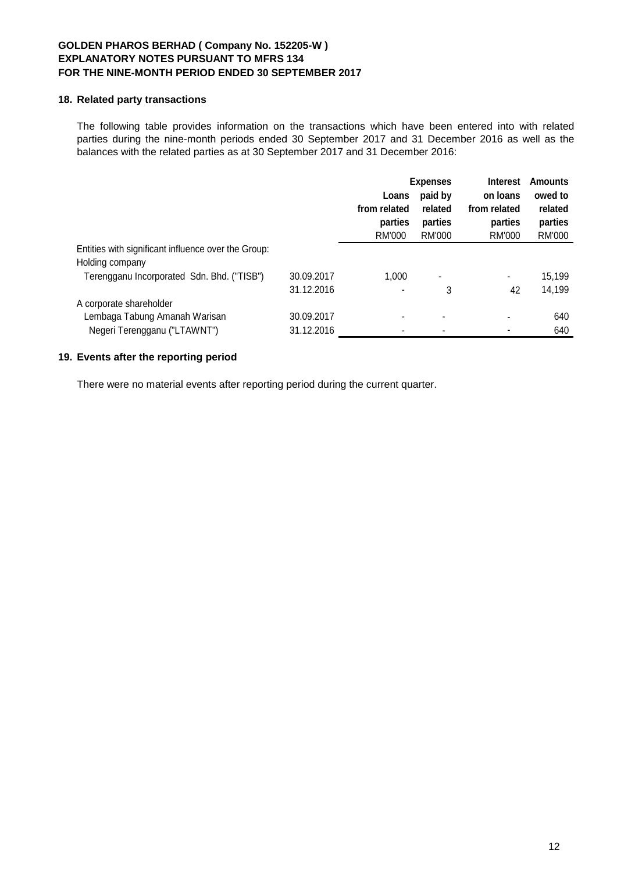## **18. Related party transactions**

The following table provides information on the transactions which have been entered into with related parties during the nine-month periods ended 30 September 2017 and 31 December 2016 as well as the balances with the related parties as at 30 September 2017 and 31 December 2016:

|                                                     |            | <b>Expenses</b>                   |                              | <b>Interest</b>                   | <b>Amounts</b>               |
|-----------------------------------------------------|------------|-----------------------------------|------------------------------|-----------------------------------|------------------------------|
|                                                     |            | Loans                             | paid by                      | on loans                          | owed to                      |
|                                                     |            | from related<br>parties<br>RM'000 | related<br>parties<br>RM'000 | from related<br>parties<br>RM'000 | related<br>parties<br>RM'000 |
| Entities with significant influence over the Group: |            |                                   |                              |                                   |                              |
| Holding company                                     |            |                                   |                              |                                   |                              |
| Terengganu Incorporated Sdn. Bhd. ("TISB")          | 30.09.2017 | 1.000                             |                              | ۰                                 | 15,199                       |
|                                                     | 31.12.2016 |                                   | 3                            | 42                                | 14,199                       |
| A corporate shareholder                             |            |                                   |                              |                                   |                              |
| Lembaga Tabung Amanah Warisan                       | 30.09.2017 |                                   | ۰                            |                                   | 640                          |
| Negeri Terengganu ("LTAWNT")                        | 31.12.2016 |                                   | ٠                            |                                   | 640                          |

## **19. Events after the reporting period**

There were no material events after reporting period during the current quarter.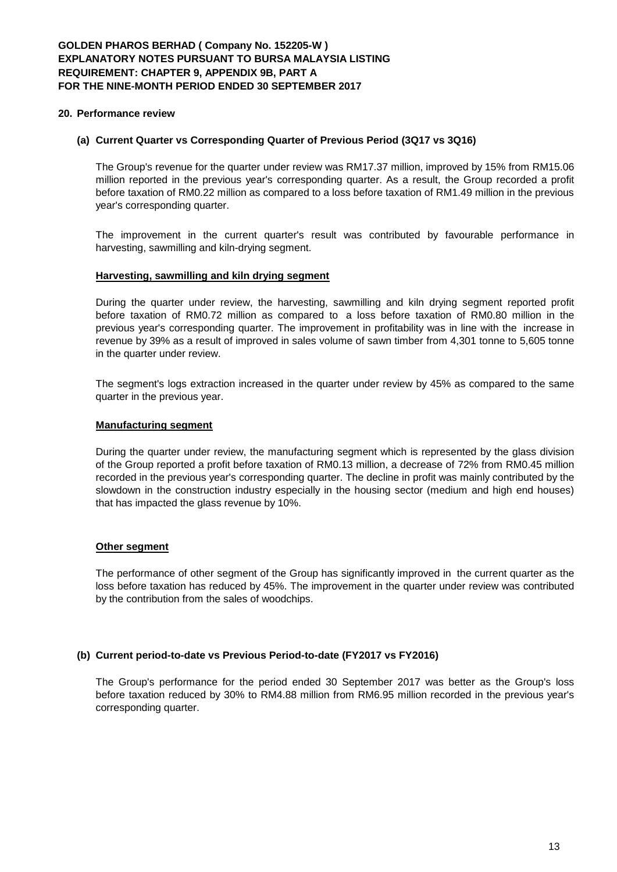#### **20. Performance review**

#### **(a) Current Quarter vs Corresponding Quarter of Previous Period (3Q17 vs 3Q16)**

The Group's revenue for the quarter under review was RM17.37 million, improved by 15% from RM15.06 million reported in the previous year's corresponding quarter. As a result, the Group recorded a profit before taxation of RM0.22 million as compared to a loss before taxation of RM1.49 million in the previous year's corresponding quarter.

The improvement in the current quarter's result was contributed by favourable performance in harvesting, sawmilling and kiln-drying segment.

#### **Harvesting, sawmilling and kiln drying segment**

During the quarter under review, the harvesting, sawmilling and kiln drying segment reported profit before taxation of RM0.72 million as compared to a loss before taxation of RM0.80 million in the previous year's corresponding quarter. The improvement in profitability was in line with the increase in revenue by 39% as a result of improved in sales volume of sawn timber from 4,301 tonne to 5,605 tonne in the quarter under review.

The segment's logs extraction increased in the quarter under review by 45% as compared to the same quarter in the previous year.

#### **Manufacturing segment**

During the quarter under review, the manufacturing segment which is represented by the glass division of the Group reported a profit before taxation of RM0.13 million, a decrease of 72% from RM0.45 million recorded in the previous year's corresponding quarter. The decline in profit was mainly contributed by the slowdown in the construction industry especially in the housing sector (medium and high end houses) that has impacted the glass revenue by 10%.

### **Other segment**

The performance of other segment of the Group has significantly improved in the current quarter as the loss before taxation has reduced by 45%. The improvement in the quarter under review was contributed by the contribution from the sales of woodchips.

#### **(b) Current period-to-date vs Previous Period-to-date (FY2017 vs FY2016)**

The Group's performance for the period ended 30 September 2017 was better as the Group's loss before taxation reduced by 30% to RM4.88 million from RM6.95 million recorded in the previous year's corresponding quarter.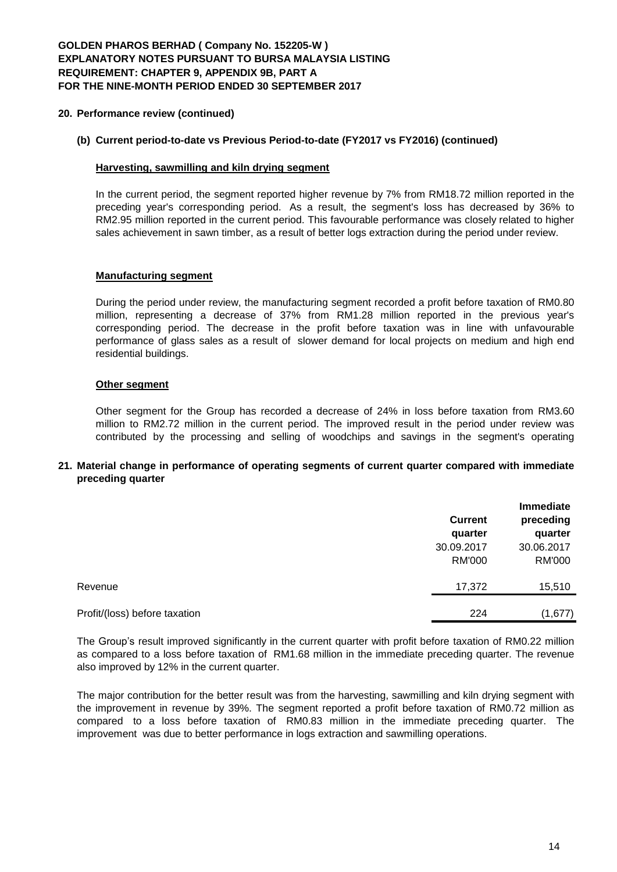# **GOLDEN PHAROS BERHAD ( Company No. 152205-W ) EXPLANATORY NOTES PURSUANT TO BURSA MALAYSIA LISTING REQUIREMENT: CHAPTER 9, APPENDIX 9B, PART A FOR THE NINE-MONTH PERIOD ENDED 30 SEPTEMBER 2017**

### **20. Performance review (continued)**

#### **(b) Current period-to-date vs Previous Period-to-date (FY2017 vs FY2016) (continued)**

#### **Harvesting, sawmilling and kiln drying segment**

In the current period, the segment reported higher revenue by 7% from RM18.72 million reported in the preceding year's corresponding period. As a result, the segment's loss has decreased by 36% to RM2.95 million reported in the current period. This favourable performance was closely related to higher sales achievement in sawn timber, as a result of better logs extraction during the period under review.

#### **Manufacturing segment**

During the period under review, the manufacturing segment recorded a profit before taxation of RM0.80 million, representing a decrease of 37% from RM1.28 million reported in the previous year's corresponding period. The decrease in the profit before taxation was in line with unfavourable performance of glass sales as a result of slower demand for local projects on medium and high end residential buildings.

### **Other segment**

Other segment for the Group has recorded a decrease of 24% in loss before taxation from RM3.60 million to RM2.72 million in the current period. The improved result in the period under review was contributed by the processing and selling of woodchips and savings in the segment's operating

### **21. Material change in performance of operating segments of current quarter compared with immediate preceding quarter**

|                               | <b>Current</b><br>quarter   | Immediate<br>preceding<br>quarter |
|-------------------------------|-----------------------------|-----------------------------------|
|                               | 30.09.2017<br><b>RM'000</b> | 30.06.2017<br><b>RM'000</b>       |
| Revenue                       | 17,372                      | 15,510                            |
| Profit/(loss) before taxation | 224                         | (1,677)                           |

The Group's result improved significantly in the current quarter with profit before taxation of RM0.22 million as compared to a loss before taxation of RM1.68 million in the immediate preceding quarter. The revenue also improved by 12% in the current quarter.

The major contribution for the better result was from the harvesting, sawmilling and kiln drying segment with the improvement in revenue by 39%. The segment reported a profit before taxation of RM0.72 million as compared to a loss before taxation of RM0.83 million in the immediate preceding quarter. The improvement was due to better performance in logs extraction and sawmilling operations.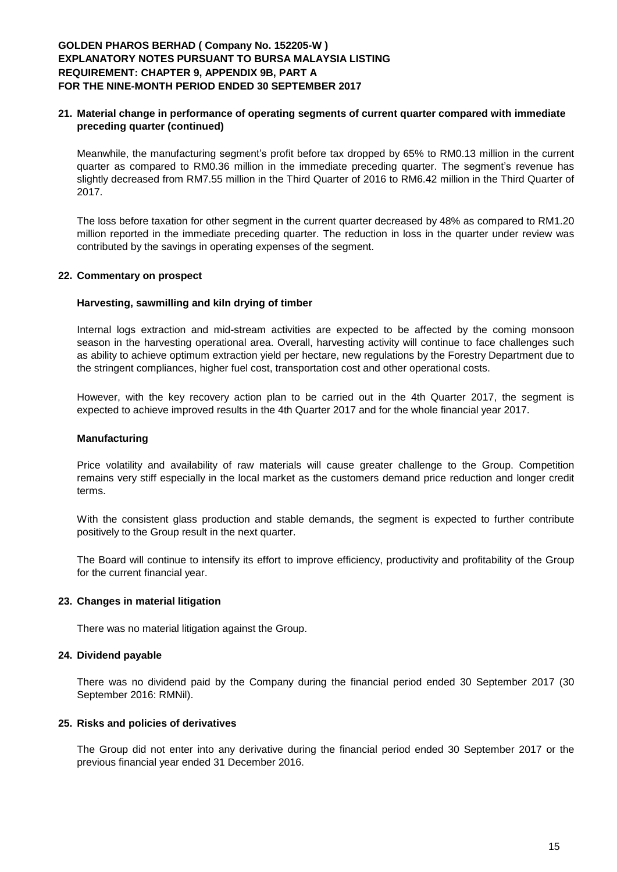# **GOLDEN PHAROS BERHAD ( Company No. 152205-W ) EXPLANATORY NOTES PURSUANT TO BURSA MALAYSIA LISTING REQUIREMENT: CHAPTER 9, APPENDIX 9B, PART A FOR THE NINE-MONTH PERIOD ENDED 30 SEPTEMBER 2017**

## **21. Material change in performance of operating segments of current quarter compared with immediate preceding quarter (continued)**

Meanwhile, the manufacturing segment's profit before tax dropped by 65% to RM0.13 million in the current quarter as compared to RM0.36 million in the immediate preceding quarter. The segment's revenue has slightly decreased from RM7.55 million in the Third Quarter of 2016 to RM6.42 million in the Third Quarter of 2017.

The loss before taxation for other segment in the current quarter decreased by 48% as compared to RM1.20 million reported in the immediate preceding quarter. The reduction in loss in the quarter under review was contributed by the savings in operating expenses of the segment.

### **22. Commentary on prospect**

### **Harvesting, sawmilling and kiln drying of timber**

Internal logs extraction and mid-stream activities are expected to be affected by the coming monsoon season in the harvesting operational area. Overall, harvesting activity will continue to face challenges such as ability to achieve optimum extraction yield per hectare, new regulations by the Forestry Department due to the stringent compliances, higher fuel cost, transportation cost and other operational costs.

However, with the key recovery action plan to be carried out in the 4th Quarter 2017, the segment is expected to achieve improved results in the 4th Quarter 2017 and for the whole financial year 2017.

#### **Manufacturing**

Price volatility and availability of raw materials will cause greater challenge to the Group. Competition remains very stiff especially in the local market as the customers demand price reduction and longer credit terms.

With the consistent glass production and stable demands, the segment is expected to further contribute positively to the Group result in the next quarter.

The Board will continue to intensify its effort to improve efficiency, productivity and profitability of the Group for the current financial year.

### **23. Changes in material litigation**

There was no material litigation against the Group.

#### **24. Dividend payable**

There was no dividend paid by the Company during the financial period ended 30 September 2017 (30 September 2016: RMNil).

#### **25. Risks and policies of derivatives**

The Group did not enter into any derivative during the financial period ended 30 September 2017 or the previous financial year ended 31 December 2016.